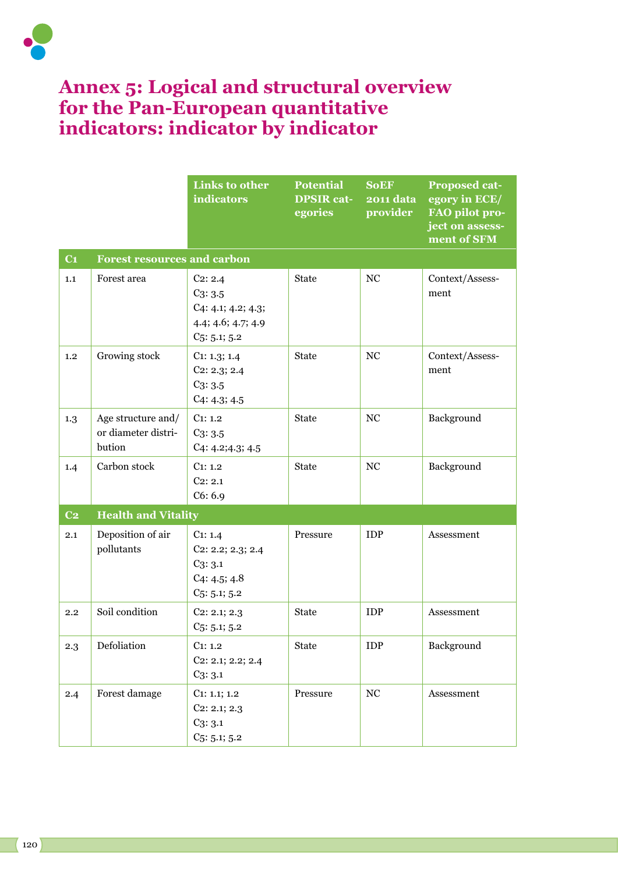

## **Annex 5: Logical and structural overview for the Pan-European quantitative indicators: indicator by indicator**

|                          |                                                     | <b>Links to other</b><br>indicators                                                     | <b>Potential</b><br><b>DPSIR cat-</b><br>egories | <b>SoEF</b><br><b>2011 data</b><br>provider | <b>Proposed cat-</b><br>egory in ECE/<br>FAO pilot pro-<br>ject on assess-<br>ment of SFM |  |  |  |  |
|--------------------------|-----------------------------------------------------|-----------------------------------------------------------------------------------------|--------------------------------------------------|---------------------------------------------|-------------------------------------------------------------------------------------------|--|--|--|--|
| C <sub>1</sub>           | <b>Forest resources and carbon</b>                  |                                                                                         |                                                  |                                             |                                                                                           |  |  |  |  |
| 1.1                      | Forest area                                         | $C_2: 2.4$<br>$C_3: 3.5$<br>C4: 4.1; 4.2; 4.3;<br>4.4; 4.6; 4.7; 4.9<br>$C_5: 5.1; 5.2$ | <b>State</b>                                     | NC                                          | Context/Assess-<br>ment                                                                   |  |  |  |  |
| 1.2                      | Growing stock                                       | C1: 1.3; 1.4<br>$C_2$ : 2.3; 2.4<br>$C_3: 3.5$<br>C4: 4.3; 4.5                          | <b>State</b>                                     | NC                                          | Context/Assess-<br>ment                                                                   |  |  |  |  |
| 1.3                      | Age structure and/<br>or diameter distri-<br>bution | C1: 1.2<br>$C_3: 3.5$<br>C4: 4.2; 4.3; 4.5                                              | <b>State</b>                                     | NC                                          | Background                                                                                |  |  |  |  |
| 1.4                      | Carbon stock                                        | C1: 1.2<br>$C_2: 2.1$<br>C6: 6.9                                                        | <b>State</b>                                     | NC                                          | Background                                                                                |  |  |  |  |
| $\overline{\mathbf{C2}}$ | <b>Health and Vitality</b>                          |                                                                                         |                                                  |                                             |                                                                                           |  |  |  |  |
| 2.1                      | Deposition of air<br>pollutants                     | C1: 1.4<br>$C_2$ : 2.2; 2.3; 2.4<br>$C_3: 3.1$<br>C4: 4.5; 4.8<br>$C_5: 5.1; 5.2$       | Pressure                                         | <b>IDP</b>                                  | Assessment                                                                                |  |  |  |  |
| 2.2                      | Soil condition                                      | $C_2$ : 2.1; 2.3<br>$C_5: 5.1; 5.2$                                                     | <b>State</b>                                     | <b>IDP</b>                                  | Assessment                                                                                |  |  |  |  |
| $2.3\text{ }$            | Defoliation                                         | C1: 1.2<br>$C_2$ : 2.1; 2.2; 2.4<br>$C_3: 3.1$                                          | <b>State</b>                                     | <b>IDP</b>                                  | Background                                                                                |  |  |  |  |
| 2.4                      | Forest damage                                       | $C_1: 1.1; 1.2$<br>$C_2$ : 2.1; 2.3<br>$C_3: 3.1$<br>$C_5: 5.1; 5.2$                    | Pressure                                         | $_{\mathrm{NC}}$                            | Assessment                                                                                |  |  |  |  |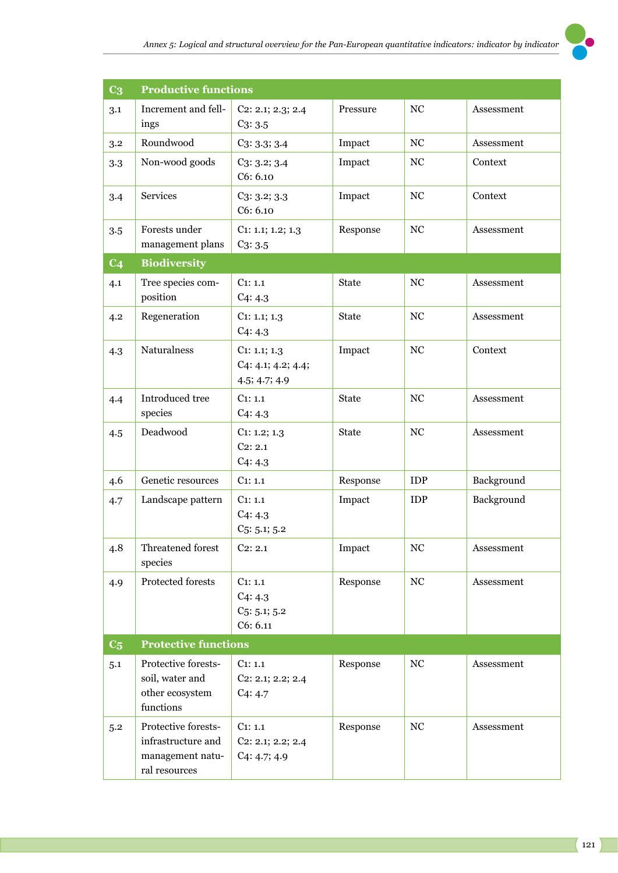

| C <sub>3</sub> | <b>Productive functions</b>                                                    |                                                         |              |                  |            |  |  |
|----------------|--------------------------------------------------------------------------------|---------------------------------------------------------|--------------|------------------|------------|--|--|
| 3.1            | Increment and fell-<br>ings                                                    | C2: 2.1; 2.3; 2.4<br>$C_3: 3.5$                         | Pressure     | NC               | Assessment |  |  |
| 3.2            | Roundwood                                                                      | $C_3: 3.3: 3.4$                                         | Impact       | $_{\mathrm{NC}}$ | Assessment |  |  |
| 3.3            | Non-wood goods                                                                 | $C_3: 3.2; 3.4$<br>C6: 6.10                             | Impact       | NC               | Context    |  |  |
| 3.4            | <b>Services</b>                                                                | $C_3: 3.2; 3.3$<br>C6: 6.10                             | Impact       | NC               | Context    |  |  |
| 3.5            | Forests under<br>management plans                                              | $C_1$ : 1.1; 1.2; 1.3<br>$C_3: 3.5$                     | Response     | NC               | Assessment |  |  |
| C <sub>4</sub> | <b>Biodiversity</b>                                                            |                                                         |              |                  |            |  |  |
| 4.1            | Tree species com-<br>position                                                  | C1: 1.1<br>C4:4.3                                       | <b>State</b> | NC               | Assessment |  |  |
| 4.2            | Regeneration                                                                   | $C_1$ : 1.1; 1.3<br>C4:4.3                              | <b>State</b> | NC               | Assessment |  |  |
| 4.3            | <b>Naturalness</b>                                                             | $C_1$ : 1.1; 1.3<br>C4: 4.1; 4.2; 4.4;<br>4.5; 4.7; 4.9 | Impact       | NC               | Context    |  |  |
| 4.4            | Introduced tree<br>species                                                     | C1: 1.1<br>C4:4.3                                       | <b>State</b> | NC               | Assessment |  |  |
| 4.5            | Deadwood                                                                       | $C_1$ : 1.2; 1.3<br>$C_2$ : 2.1<br>C4:4.3               | <b>State</b> | NC               | Assessment |  |  |
| 4.6            | Genetic resources                                                              | C1: 1.1                                                 | Response     | <b>IDP</b>       | Background |  |  |
| 4.7            | Landscape pattern                                                              | C1: 1.1<br>C4:4.3<br>$C_5: 5.1; 5.2$                    | Impact       | <b>IDP</b>       | Background |  |  |
| 4.8            | Threatened forest<br>species                                                   | $C_2$ : 2.1                                             | Impact       | NC               | Assessment |  |  |
| 4.9            | Protected forests                                                              | C1: 1.1<br>C4:4.3<br>$C_5: 5.1; 5.2$<br>C6: 6.11        | Response     | $_{\mathrm{NC}}$ | Assessment |  |  |
| C <sub>5</sub> | <b>Protective functions</b>                                                    |                                                         |              |                  |            |  |  |
| 5.1            | Protective forests-<br>soil, water and<br>other ecosystem<br>functions         | C1: 1.1<br>$C_2$ : 2.1; 2.2; 2.4<br>C4:4.7              | Response     | $_{\mathrm{NC}}$ | Assessment |  |  |
| 5.2            | Protective forests-<br>infrastructure and<br>management natu-<br>ral resources | C1: 1.1<br>$C_2$ : 2.1; 2.2; 2.4<br>C4: 4.7; 4.9        | Response     | NC               | Assessment |  |  |